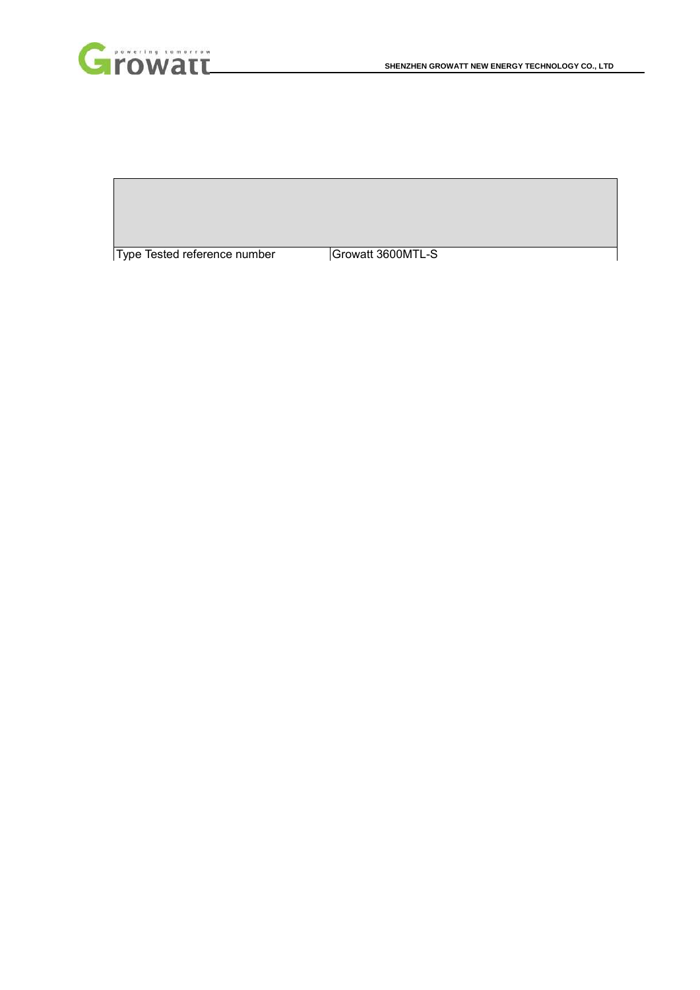

Type Tested reference number | Growatt 3600MTL-S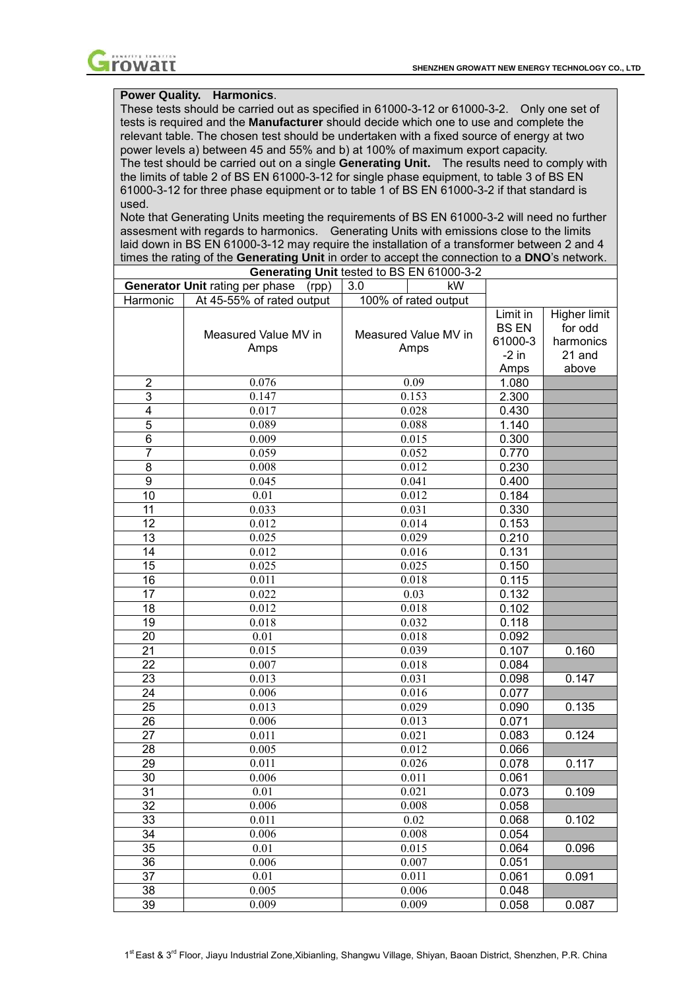

# **Power Quality. Harmonics**.

These tests should be carried out as specified in 61000-3-12 or 61000-3-2. Only one set of tests is required and the **Manufacturer** should decide which one to use and complete the relevant table. The chosen test should be undertaken with a fixed source of energy at two power levels a) between 45 and 55% and b) at 100% of maximum export capacity. The test should be carried out on a single **Generating Unit.** The results need to comply with the limits of table 2 of BS EN 61000-3-12 for single phase equipment, to table 3 of BS EN 61000-3-12 for three phase equipment or to table 1 of BS EN 61000-3-2 if that standard is used.

Note that Generating Units meeting the requirements of BS EN 61000-3-2 will need no further assesment with regards to harmonics. Generating Units with emissions close to the limits laid down in BS EN 61000-3-12 may require the installation of a transformer between 2 and 4 times the rating of the **Generating Unit** in order to accept the connection to a **DNO**'s network. **Generating Unit** tested to BS EN 61000-3-2

|                  | Generating Unit lested to BS EIN 81000-3-2 |     |                      |              |              |
|------------------|--------------------------------------------|-----|----------------------|--------------|--------------|
|                  | Generator Unit rating per phase<br>(rpp)   | 3.0 | kW.                  |              |              |
| Harmonic         | At 45-55% of rated output                  |     | 100% of rated output |              |              |
|                  |                                            |     |                      | Limit in     | Higher limit |
|                  | Measured Value MV in                       |     | Measured Value MV in | <b>BS EN</b> | for odd      |
|                  | Amps                                       |     | Amps                 | 61000-3      | harmonics    |
|                  |                                            |     |                      | $-2$ in      | 21 and       |
|                  |                                            |     |                      | Amps         | above        |
| $\overline{2}$   | 0.076                                      |     | 0.09                 | 1.080        |              |
| 3                | 0.147                                      |     | 0.153                | 2.300        |              |
| 4                | 0.017                                      |     | 0.028                | 0.430        |              |
| 5                | 0.089                                      |     | 0.088                | 1.140        |              |
| 6                | 0.009                                      |     | 0.015                | 0.300        |              |
| $\overline{7}$   | 0.059                                      |     | 0.052                | 0.770        |              |
| 8                | 0.008                                      |     | 0.012                | 0.230        |              |
| $\boldsymbol{9}$ | 0.045                                      |     | 0.041                | 0.400        |              |
| 10               | 0.01                                       |     | 0.012                | 0.184        |              |
| 11               | 0.033                                      |     | 0.031                | 0.330        |              |
| 12               | 0.012                                      |     | 0.014                | 0.153        |              |
| 13               | 0.025                                      |     | 0.029                | 0.210        |              |
| 14               | 0.012                                      |     | 0.016                | 0.131        |              |
| 15               | 0.025                                      |     | 0.025                | 0.150        |              |
| 16               | 0.011                                      |     | 0.018                | 0.115        |              |
| 17               | 0.022                                      |     | 0.03                 | 0.132        |              |
| 18               | 0.012                                      |     | 0.018                | 0.102        |              |
| 19               | 0.018                                      |     | 0.032                | 0.118        |              |
| 20               | 0.01                                       |     | 0.018                | 0.092        |              |
| 21               | 0.015                                      |     | 0.039                | 0.107        | 0.160        |
| 22               | 0.007                                      |     | 0.018                | 0.084        |              |
| 23               | 0.013                                      |     | 0.031                | 0.098        | 0.147        |
| 24               | 0.006                                      |     | 0.016                | 0.077        |              |
| 25               | 0.013                                      |     | 0.029                | 0.090        | 0.135        |
| 26               | 0.006                                      |     | 0.013                | 0.071        |              |
| 27               | 0.011                                      |     | 0.021                | 0.083        | 0.124        |
| 28               | 0.005                                      |     | 0.012                | 0.066        |              |
| 29               | 0.011                                      |     | 0.026                | 0.078        | 0.117        |
| 30               | 0.006                                      |     | 0.011                | 0.061        |              |
| 31               | 0.01                                       |     | 0.021                | 0.073        | 0.109        |
| 32               | 0.006                                      |     | 0.008                | 0.058        |              |
| 33               | 0.011                                      |     | 0.02                 | 0.068        | 0.102        |
| 34               | 0.006                                      |     | 0.008                | 0.054        |              |
| 35               | 0.01                                       |     | 0.015                | 0.064        | 0.096        |
| 36               | 0.006                                      |     | 0.007                | 0.051        |              |
| 37               | 0.01                                       |     | 0.011                | 0.061        | 0.091        |
| 38               | 0.005                                      |     | 0.006                | 0.048        |              |
| 39               | 0.009                                      |     | 0.009                | 0.058        | 0.087        |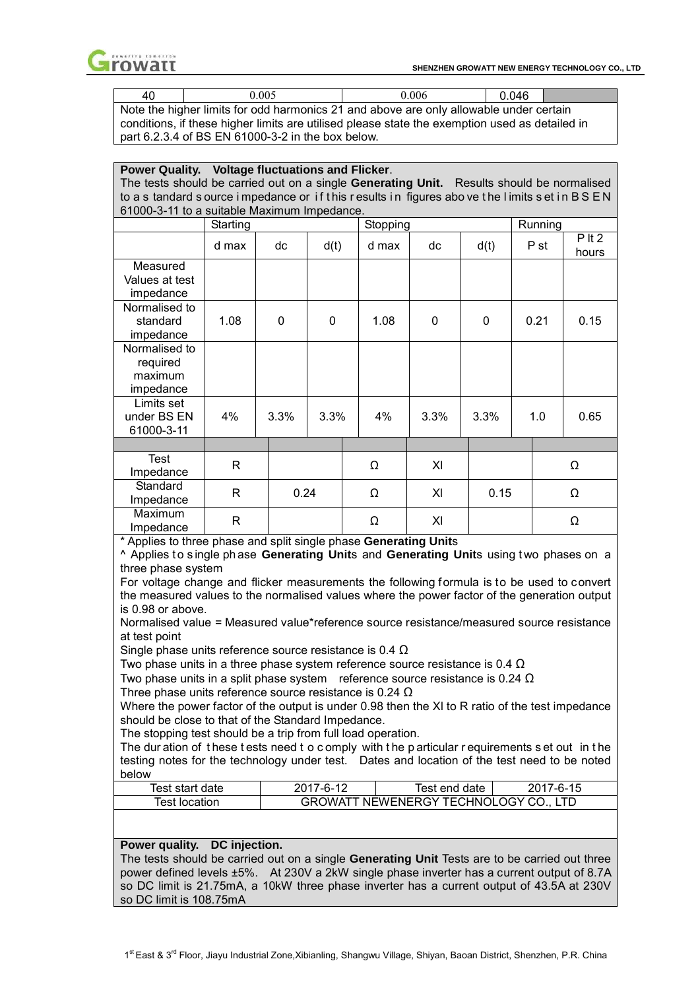

| 40 | 0.005                                                                                          | 0.006 | 0.046 |  |
|----|------------------------------------------------------------------------------------------------|-------|-------|--|
|    | Note the higher limits for odd harmonics 21 and above are only allowable under certain         |       |       |  |
|    | conditions, if these higher limits are utilised please state the exemption used as detailed in |       |       |  |
|    | part 6.2.3.4 of BS EN 61000-3-2 in the box below.                                              |       |       |  |

| Power Quality. Voltage fluctuations and Flicker.                                          |                                                                                            |          |      |          |  |          |          |  |      |          |
|-------------------------------------------------------------------------------------------|--------------------------------------------------------------------------------------------|----------|------|----------|--|----------|----------|--|------|----------|
| The tests should be carried out on a single Generating Unit. Results should be normalised |                                                                                            |          |      |          |  |          |          |  |      |          |
|                                                                                           | to a s tandard source impedance or if this results in figures above the limits set in BSEN |          |      |          |  |          |          |  |      |          |
| 61000-3-11 to a suitable Maximum Impedance.<br>Running<br>Starting<br>Stopping            |                                                                                            |          |      |          |  |          |          |  |      |          |
|                                                                                           |                                                                                            |          |      |          |  |          |          |  |      | $P$ It 2 |
|                                                                                           | d max                                                                                      | dc       | d(t) | d max    |  | dc       | d(t)     |  | P st | hours    |
| Measured                                                                                  |                                                                                            |          |      |          |  |          |          |  |      |          |
| Values at test                                                                            |                                                                                            |          |      |          |  |          |          |  |      |          |
| impedance                                                                                 |                                                                                            |          |      |          |  |          |          |  |      |          |
| Normalised to                                                                             |                                                                                            |          |      |          |  |          |          |  |      |          |
| standard                                                                                  | 1.08                                                                                       | $\Omega$ | 0    | 1.08     |  | $\Omega$ | $\Omega$ |  | 0.21 | 0.15     |
| impedance                                                                                 |                                                                                            |          |      |          |  |          |          |  |      |          |
| Normalised to                                                                             |                                                                                            |          |      |          |  |          |          |  |      |          |
| required                                                                                  |                                                                                            |          |      |          |  |          |          |  |      |          |
| maximum                                                                                   |                                                                                            |          |      |          |  |          |          |  |      |          |
| impedance                                                                                 |                                                                                            |          |      |          |  |          |          |  |      |          |
| Limits set                                                                                |                                                                                            |          |      |          |  |          |          |  |      |          |
| under BS EN                                                                               | 4%                                                                                         | 3.3%     | 3.3% | $4\%$    |  | 3.3%     | 3.3%     |  | 1.0  | 0.65     |
| 61000-3-11                                                                                |                                                                                            |          |      |          |  |          |          |  |      |          |
|                                                                                           |                                                                                            |          |      |          |  |          |          |  |      |          |
| Test                                                                                      | R                                                                                          |          |      | $\Omega$ |  | XI       |          |  |      | $\Omega$ |
| Impedance                                                                                 |                                                                                            |          |      |          |  |          |          |  |      |          |
| Standard                                                                                  | R                                                                                          | 0.24     |      | $\Omega$ |  | XI       | 0.15     |  |      | $\Omega$ |
| Impedance                                                                                 |                                                                                            |          |      |          |  |          |          |  |      |          |
| Maximum                                                                                   | R                                                                                          |          |      | Ω        |  | XI       |          |  |      | Ω        |
| Impedance                                                                                 |                                                                                            |          |      |          |  |          |          |  |      |          |

\* Applies to three phase and split single phase **Generating Unit**s

^ Applies t o s ingle ph ase **Generating Unit**s and **Generating Unit**s using t wo phases on a three phase system

For voltage change and flicker measurements the following formula is to be used to convert the measured values to the normalised values where the power factor of the generation output is 0.98 or above.

Normalised value = Measured value\*reference source resistance/measured source resistance at test point

Single phase units reference source resistance is 0.4  $\Omega$ 

Two phase units in a three phase system reference source resistance is  $0.4 \Omega$ 

Two phase units in a split phase system reference source resistance is 0.24  $\Omega$ 

Three phase units reference source resistance is 0.24  $\Omega$ 

Where the power factor of the output is under 0.98 then the XI to R ratio of the test impedance should be close to that of the Standard Impedance.

The stopping test should be a trip from full load operation.

The dur ation of these tests need to comply with the particular requirements set out in the testing notes for the technology under test. Dates and location of the test need to be noted below

| Test start date | 2017-6-12 | lest end date           | 2017-6-15 |
|-----------------|-----------|-------------------------|-----------|
| Test location   | GROWATT   | NEWENERGY TECHNOLOGY CO |           |

#### **Power quality. DC injection.**

The tests should be carried out on a single **Generating Unit** Tests are to be carried out three power defined levels ±5%. At 230V a 2kW single phase inverter has a current output of 8.7A so DC limit is 21.75mA, a 10kW three phase inverter has a current output of 43.5A at 230V so DC limit is 108.75mA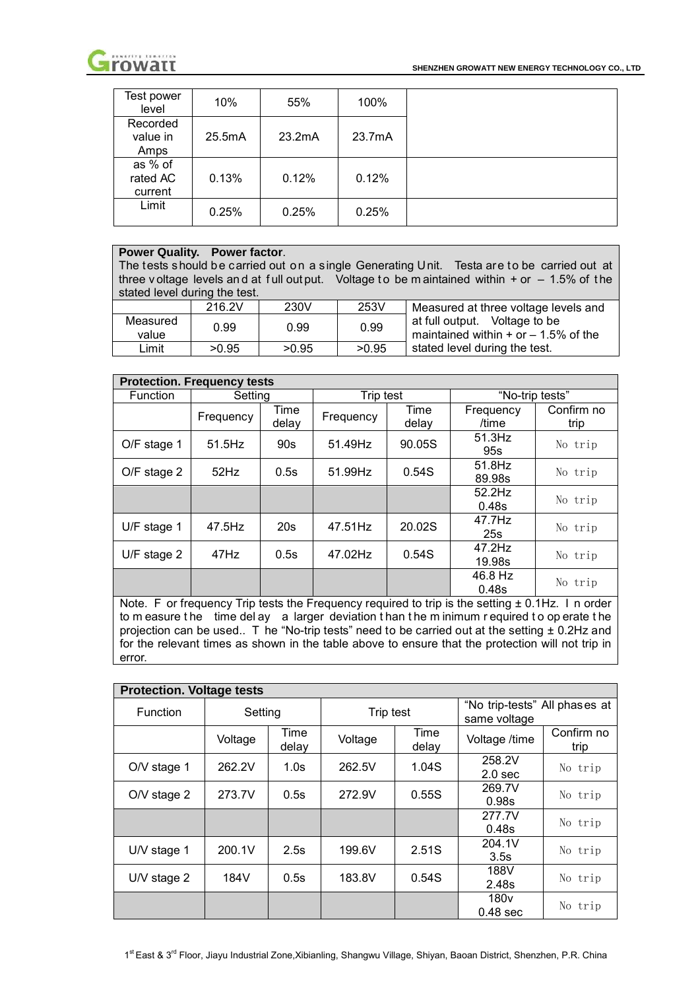

| Test power<br>level            | 10%    | 55%    | 100%   |  |
|--------------------------------|--------|--------|--------|--|
| Recorded<br>value in<br>Amps   | 25.5mA | 23.2mA | 23.7mA |  |
| as % of<br>rated AC<br>current | 0.13%  | 0.12%  | 0.12%  |  |
| Limit                          | 0.25%  | 0.25%  | 0.25%  |  |

## **Power Quality. Power factor**.

The tests should be carried out on a single Generating Unit. Testa are to be carried out at three v oltage levels and at full out put. Voltage to be m aintained within  $+$  or  $-$  1.5% of the stated level during the test.

|                   | 216.2V | 230V  | 253V  | Measured at three voltage levels and                                      |
|-------------------|--------|-------|-------|---------------------------------------------------------------------------|
| Measured<br>value | 0.99   | 0.99  | 0.99  | at full output. Voltage to be<br>maintained within $+$ or $-$ 1.5% of the |
| ∟imit             | >0.95  | >0.95 | >0.95 | stated level during the test.                                             |

| <b>Protection. Frequency tests</b> |           |               |           |               |                     |                    |  |  |  |  |
|------------------------------------|-----------|---------------|-----------|---------------|---------------------|--------------------|--|--|--|--|
| <b>Function</b>                    | Setting   |               | Trip test |               | "No-trip tests"     |                    |  |  |  |  |
|                                    | Frequency | Time<br>delay | Frequency | Time<br>delay | Frequency<br>/time  | Confirm no<br>trip |  |  |  |  |
| O/F stage 1                        | $51.5$ Hz | 90s           | 51.49Hz   | 90.05S        | 51.3Hz<br>95s       | No trip            |  |  |  |  |
| $O/F$ stage 2                      | 52Hz      | 0.5s          | 51.99Hz   | 0.54S         | $51.8$ Hz<br>89.98s | No trip            |  |  |  |  |
|                                    |           |               |           |               | 52.2Hz<br>0.48s     | No trip            |  |  |  |  |
| $U/F$ stage 1                      | 47.5Hz    | 20s           | 47.51Hz   | 20.02S        | 47.7Hz<br>25s       | No trip            |  |  |  |  |
| $U/F$ stage 2                      | 47Hz      | 0.5s          | 47.02Hz   | 0.54S         | 47.2Hz<br>19.98s    | No trip            |  |  |  |  |
|                                    |           |               |           |               | 46.8 Hz<br>0.48s    | No trip            |  |  |  |  |

Note. F or frequency Trip tests the Frequency required to trip is the setting  $\pm$  0.1Hz. I n order to m easure the time del ay a larger deviation than the m inimum r equired to op erate the projection can be used.. T he "No-trip tests" need to be carried out at the setting  $\pm$  0.2Hz and for the relevant times as shown in the table above to ensure that the protection will not trip in error.

| <b>Protection. Voltage tests</b> |         |               |           |               |                                               |                    |  |  |  |  |
|----------------------------------|---------|---------------|-----------|---------------|-----------------------------------------------|--------------------|--|--|--|--|
| <b>Function</b>                  | Setting |               | Trip test |               | "No trip-tests" All phases at<br>same voltage |                    |  |  |  |  |
|                                  | Voltage | Time<br>delay | Voltage   | Time<br>delay | Voltage /time                                 | Confirm no<br>trip |  |  |  |  |
| O/V stage 1                      | 262.2V  | 1.0s          | 262.5V    | 1.04S         | 258.2V<br>2.0 <sub>sec</sub>                  | No trip            |  |  |  |  |
| $O/V$ stage 2                    | 273.7V  | 0.5s          | 272.9V    | 0.55S         | 269.7V<br>0.98s                               | No trip            |  |  |  |  |
|                                  |         |               |           |               | 277.7V<br>0.48s                               | No trip            |  |  |  |  |
| U/V stage 1                      | 200.1V  | 2.5s          | 199.6V    | 2.51S         | 204.1V<br>3.5s                                | No trip            |  |  |  |  |
| $UV$ stage 2                     | 184V    | 0.5s          | 183.8V    | 0.54S         | 188V<br>2.48s                                 | No trip            |  |  |  |  |
|                                  |         |               |           |               | 180 <sub>v</sub><br>$0.48$ sec                | No trip            |  |  |  |  |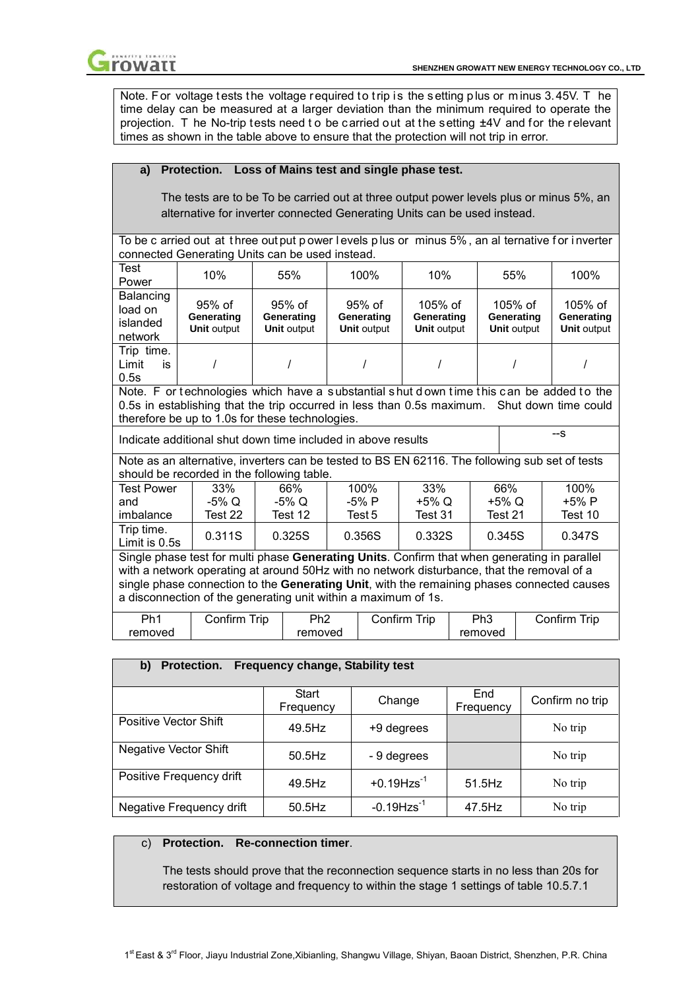

Note. For voltage t ests the voltage required to trip is the setting plus or minus 3.45V. The time delay can be measured at a larger deviation than the minimum required to operate the projection. T he No-trip tests need to be carried out at the setting  $\pm 4V$  and for the relevant times as shown in the table above to ensure that the protection will not trip in error.

# **a) Protection. Loss of Mains test and single phase test.**

The tests are to be To be carried out at three output power levels plus or minus 5%, an alternative for inverter connected Generating Units can be used instead.

To be c arried out at three out put p ower levels plus or minus 5%, an al ternative for inverter connected Generating Units can be used instead.

| Test<br>Power                                                                                                                                                                                                                                                                                                                                              | 10%                                                                                                                                                                                                                                        | 55%                                          | 100%                                         | 10%                                                                                            |  | 55%                                           | 100%                                          |  |  |
|------------------------------------------------------------------------------------------------------------------------------------------------------------------------------------------------------------------------------------------------------------------------------------------------------------------------------------------------------------|--------------------------------------------------------------------------------------------------------------------------------------------------------------------------------------------------------------------------------------------|----------------------------------------------|----------------------------------------------|------------------------------------------------------------------------------------------------|--|-----------------------------------------------|-----------------------------------------------|--|--|
| Balancing<br>load on<br>islanded<br>network                                                                                                                                                                                                                                                                                                                | $95%$ of<br>Generating<br><b>Unit output</b>                                                                                                                                                                                               | $95%$ of<br>Generating<br><b>Unit output</b> | $95%$ of<br>Generating<br><b>Unit output</b> | $105%$ of<br>Generating<br><b>Unit output</b>                                                  |  | $105%$ of<br>Generating<br><b>Unit output</b> | $105%$ of<br>Generating<br><b>Unit output</b> |  |  |
| Trip time.<br>Limit<br>is<br>0.5s                                                                                                                                                                                                                                                                                                                          |                                                                                                                                                                                                                                            |                                              |                                              |                                                                                                |  |                                               |                                               |  |  |
|                                                                                                                                                                                                                                                                                                                                                            | Note. F or technologies which have a substantial shut down time this can be added to the<br>0.5s in establishing that the trip occurred in less than 0.5s maximum. Shut down time could<br>therefore be up to 1.0s for these technologies. |                                              |                                              |                                                                                                |  |                                               |                                               |  |  |
|                                                                                                                                                                                                                                                                                                                                                            | Indicate additional shut down time included in above results                                                                                                                                                                               |                                              |                                              |                                                                                                |  |                                               | $-S$                                          |  |  |
|                                                                                                                                                                                                                                                                                                                                                            | should be recorded in the following table.                                                                                                                                                                                                 |                                              |                                              | Note as an alternative, inverters can be tested to BS EN 62116. The following sub set of tests |  |                                               |                                               |  |  |
| <b>Test Power</b>                                                                                                                                                                                                                                                                                                                                          | 33%                                                                                                                                                                                                                                        | 66%                                          | 100%                                         | 33%                                                                                            |  | 66%                                           | 100%                                          |  |  |
| and                                                                                                                                                                                                                                                                                                                                                        | -5% Q                                                                                                                                                                                                                                      | -5% Q                                        | -5% P                                        | +5% Q                                                                                          |  | +5% Q                                         | +5% P                                         |  |  |
| imbalance                                                                                                                                                                                                                                                                                                                                                  | Test 22                                                                                                                                                                                                                                    | Test 12                                      | Test 5                                       | Test 31                                                                                        |  | Test 21                                       | Test 10                                       |  |  |
| Trip time.                                                                                                                                                                                                                                                                                                                                                 | 0.311S<br>0.356S<br>0.332S<br>0.345S<br>0.347S<br>0.325S<br>Limit is 0.5s                                                                                                                                                                  |                                              |                                              |                                                                                                |  |                                               |                                               |  |  |
| Single phase test for multi phase Generating Units. Confirm that when generating in parallel<br>with a network operating at around 50Hz with no network disturbance, that the removal of a<br>single phase connection to the Generating Unit, with the remaining phases connected causes<br>a disconnection of the generating unit within a maximum of 1s. |                                                                                                                                                                                                                                            |                                              |                                              |                                                                                                |  |                                               |                                               |  |  |

| Ph <sub>1</sub> | Trip<br>Contirm | Ph2     | Trip<br>$\mathsf{Confirm}$ $\overline{\phantom{a}}$ | Ph3     | Trip<br>Confirm |
|-----------------|-----------------|---------|-----------------------------------------------------|---------|-----------------|
| removed         |                 | removed |                                                     | removed |                 |

## **b) Protection. Frequency change, Stability test**

|                              | Start<br>Frequency | Change                    | End<br>Frequency | Confirm no trip |
|------------------------------|--------------------|---------------------------|------------------|-----------------|
| <b>Positive Vector Shift</b> | 49.5Hz             | +9 degrees                |                  | No trip         |
| <b>Negative Vector Shift</b> | $50.5$ Hz          | - 9 degrees               |                  | No trip         |
| Positive Frequency drift     | 49.5Hz             | $+0.19$ Hzs <sup>-1</sup> | 51.5Hz           | No trip         |
| Negative Frequency drift     | $50.5$ Hz          | $-0.19$ Hzs <sup>-1</sup> | 47.5Hz           | No trip         |

## c) **Protection. Re-connection timer**.

The tests should prove that the reconnection sequence starts in no less than 20s for restoration of voltage and frequency to within the stage 1 settings of table 10.5.7.1